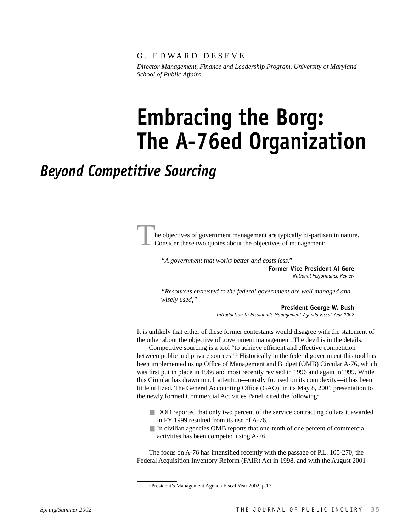G. EDWARD DESEVE

*Director Management, Finance and Leadership Program, University of Maryland School of Public Affairs*

# **Embracing the Borg: The A-76ed Organization**

## *Beyond Competitive Sourcing*

he objectives of government management are typically bi-partisan in nature. Consider these two quotes about the objectives of management:

*"A government that works better and costs less."*

**Former Vice President Al Gore** *National Performance Review*

*"Resources entrusted to the federal government are well managed and wisely used."* 

**President George W. Bush**

*Introduction to President's Management Agenda Fiscal Year 2002*

It is unlikely that either of these former contestants would disagree with the statement of the other about the objective of government management. The devil is in the details.

Competitive sourcing is a tool "to achieve efficient and effective competition between public and private sources".<sup>1</sup> Historically in the federal government this tool has been implemented using Office of Management and Budget (OMB) Circular A-76, which was first put in place in 1966 and most recently revised in 1996 and again in1999. While this Circular has drawn much attention—mostly focused on its complexity—it has been little utilized. The General Accounting Office (GAO), in its May 8, 2001 presentation to the newly formed Commercial Activities Panel, cited the following:

- DOD reported that only two percent of the service contracting dollars it awarded in FY 1999 resulted from its use of A-76.
- In civilian agencies OMB reports that one-tenth of one percent of commercial activities has been competed using A-76.

The focus on A-76 has intensified recently with the passage of P.L. 105-270, the Federal Acquisition Inventory Reform (FAIR) Act in 1998, and with the August 2001

<sup>1</sup> President's Management Agenda Fiscal Year 2002, p.17.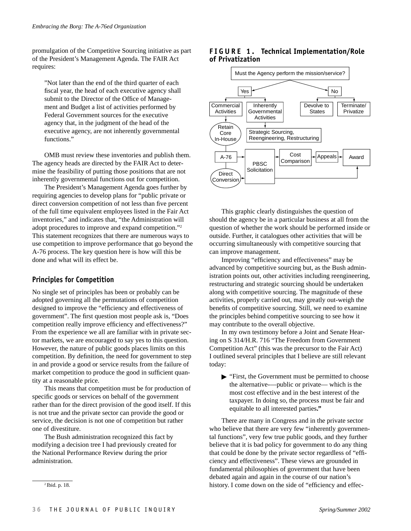promulgation of the Competitive Sourcing initiative as part of the President's Management Agenda. The FAIR Act requires:

"Not later than the end of the third quarter of each fiscal year, the head of each executive agency shall submit to the Director of the Office of Management and Budget a list of activities performed by Federal Government sources for the executive agency that, in the judgment of the head of the executive agency, are not inherently governmental functions."

OMB must review these inventories and publish them. The agency heads are directed by the FAIR Act to determine the feasibility of putting those positions that are not inherently governmental functions out for competition.

The President's Management Agenda goes further by requiring agencies to develop plans for "public private or direct conversion competition of not less than five percent of the full time equivalent employees listed in the Fair Act inventories," and indicates that, "the Administration will adopt procedures to improve and expand competition."2 This statement recognizes that there are numerous ways to use competition to improve performance that go beyond the A-76 process. The key question here is how will this be done and what will its effect be.

#### **Principles for Competition**

No single set of principles has been or probably can be adopted governing all the permutations of competition designed to improve the "efficiency and effectiveness of government". The first question most people ask is, "Does competition really improve efficiency and effectiveness?" From the experience we all are familiar with in private sector markets, we are encouraged to say yes to this question. However, the nature of public goods places limits on this competition. By definition, the need for government to step in and provide a good or service results from the failure of market competition to produce the good in sufficient quantity at a reasonable price.

This means that competition must be for production of specific goods or services on behalf of the government rather than for the direct provision of the good itself. If this is not true and the private sector can provide the good or service, the decision is not one of competition but rather one of divestiture.

The Bush administration recognized this fact by modifying a decision tree I had previously created for the National Performance Review during the prior administration.





This graphic clearly distinguishes the question of should the agency be in a particular business at all from the question of whether the work should be performed inside or outside. Further, it catalogues other activities that will be occurring simultaneously with competitive sourcing that can improve management.

Improving "efficiency and effectiveness" may be advanced by competitive sourcing but, as the Bush administration points out, other activities including reengineering, restructuring and strategic sourcing should be undertaken along with competitive sourcing. The magnitude of these activities, properly carried out, may greatly out-weigh the benefits of competitive sourcing. Still, we need to examine the principles behind competitive sourcing to see how it may contribute to the overall objective.

In my own testimony before a Joint and Senate Hearing on S 314/H.R. 716 "The Freedom from Government Competition Act" (this was the precursor to the Fair Act) I outlined several principles that I believe are still relevant today:

- "First, the Government must be permitted to choose the alternative-—public or private— which is the most cost effective and in the best interest of the taxpayer. In doing so, the process must be fair and equitable to all interested parties**."**

There are many in Congress and in the private sector who believe that there are very few "inherently governmental functions", very few true public goods, and they further believe that it is bad policy for government to do any thing that could be done by the private sector regardless of "efficiency and effectiveness". These views are grounded in fundamental philosophies of government that have been debated again and again in the course of our nation's history. I come down on the side of "efficiency and effec- 2 Ibid. p. 18.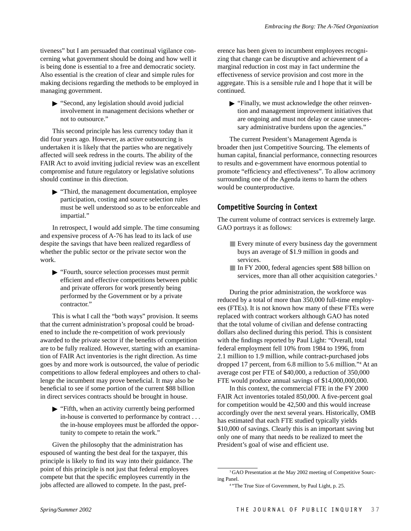tiveness" but I am persuaded that continual vigilance concerning what government should be doing and how well it is being done is essential to a free and democratic society. Also essential is the creation of clear and simple rules for making decisions regarding the methods to be employed in managing government.

- "Second, any legislation should avoid judicial involvement in management decisions whether or not to outsource."

This second principle has less currency today than it did four years ago. However, as active outsourcing is undertaken it is likely that the parties who are negatively affected will seek redress in the courts. The ability of the FAIR Act to avoid inviting judicial review was an excellent compromise and future regulatory or legislative solutions should continue in this direction.

- "Third, the management documentation, employee participation, costing and source selection rules must be well understood so as to be enforceable and impartial."

In retrospect, I would add simple. The time consuming and expensive process of A-76 has lead to its lack of use despite the savings that have been realized regardless of whether the public sector or the private sector won the work.

- "Fourth, source selection processes must permit efficient and effective competitions between public and private offerors for work presently being performed by the Government or by a private contractor."

This is what I call the "both ways" provision. It seems that the current administration's proposal could be broadened to include the re-competition of work previously awarded to the private sector if the benefits of competition are to be fully realized. However, starting with an examination of FAIR Act inventories is the right direction. As time goes by and more work is outsourced, the value of periodic competitions to allow federal employees and others to challenge the incumbent may prove beneficial. It may also be beneficial to see if some portion of the current \$88 billion in direct services contracts should be brought in house.

- "Fifth, when an activity currently being performed in-house is converted to performance by contract . . . the in-house employees must be afforded the opportunity to compete to retain the work."

Given the philosophy that the administration has espoused of wanting the best deal for the taxpayer, this principle is likely to find its way into their guidance. The point of this principle is not just that federal employees compete but that the specific employees currently in the jobs affected are allowed to compete. In the past, preference has been given to incumbent employees recognizing that change can be disruptive and achievement of a marginal reduction in cost may in fact undermine the effectiveness of service provision and cost more in the aggregate. This is a sensible rule and I hope that it will be continued.

- "Finally, we must acknowledge the other reinvention and management improvement initiatives that are ongoing and must not delay or cause unnecessary administrative burdens upon the agencies."

The current President's Management Agenda is broader then just Competitive Sourcing. The elements of human capital, financial performance, connecting resources to results and e-government have enormous potential to promote "efficiency and effectiveness". To allow acrimony surrounding one of the Agenda items to harm the others would be counterproductive.

### **Competitive Sourcing in Context**

The current volume of contract services is extremely large. GAO portrays it as follows:

- Every minute of every business day the government buys an average of \$1.9 million in goods and services.
- In FY 2000, federal agencies spent \$88 billion on services, more than all other acquisition categories.<sup>3</sup>

During the prior administration, the workforce was reduced by a total of more than 350,000 full-time employees (FTEs). It is not known how many of these FTEs were replaced with contract workers although GAO has noted that the total volume of civilian and defense contracting dollars also declined during this period. This is consistent with the findings reported by Paul Light: "Overall, total federal employment fell 10% from 1984 to 1996, from 2.1 million to 1.9 million, while contract-purchased jobs dropped 17 percent, from 6.8 million to 5.6 million."4 At an average cost per FTE of \$40,000, a reduction of 350,000 FTE would produce annual savings of \$14,000,000,000.

In this context, the commercial FTE in the FY 2000 FAIR Act inventories totaled 850,000. A five-percent goal for competition would be 42,500 and this would increase accordingly over the next several years. Historically, OMB has estimated that each FTE studied typically yields \$10,000 of savings. Clearly this is an important saving but only one of many that needs to be realized to meet the President's goal of wise and efficient use.

<sup>&</sup>lt;sup>3</sup> GAO Presentation at the May 2002 meeting of Competitive Sourcing Panel.

<sup>4 &</sup>quot;The True Size of Government, by Paul Light, p. 25.